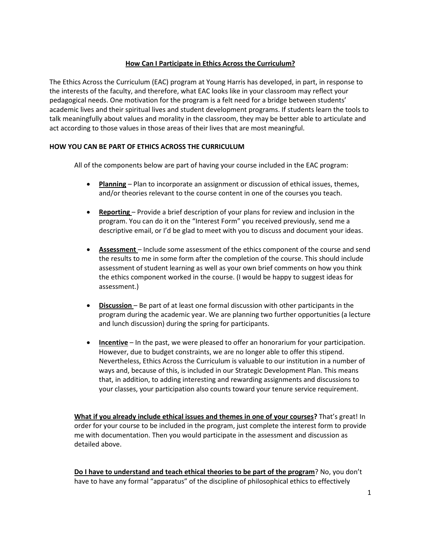# **How Can I Participate in Ethics Across the Curriculum?**

The Ethics Across the Curriculum (EAC) program at Young Harris has developed, in part, in response to the interests of the faculty, and therefore, what EAC looks like in your classroom may reflect your pedagogical needs. One motivation for the program is a felt need for a bridge between students' academic lives and their spiritual lives and student development programs. If students learn the tools to talk meaningfully about values and morality in the classroom, they may be better able to articulate and act according to those values in those areas of their lives that are most meaningful.

# **HOW YOU CAN BE PART OF ETHICS ACROSS THE CURRICULUM**

All of the components below are part of having your course included in the EAC program:

- **Planning** Plan to incorporate an assignment or discussion of ethical issues, themes, and/or theories relevant to the course content in one of the courses you teach.
- **Reporting** Provide a brief description of your plans for review and inclusion in the program. You can do it on the "Interest Form" you received previously, send me a descriptive email, or I'd be glad to meet with you to discuss and document your ideas.
- **Assessment** Include some assessment of the ethics component of the course and send the results to me in some form after the completion of the course. This should include assessment of student learning as well as your own brief comments on how you think the ethics component worked in the course. (I would be happy to suggest ideas for assessment.)
- **Discussion**  Be part of at least one formal discussion with other participants in the program during the academic year. We are planning two further opportunities (a lecture and lunch discussion) during the spring for participants.
- **Incentive** In the past, we were pleased to offer an honorarium for your participation. However, due to budget constraints, we are no longer able to offer this stipend. Nevertheless, Ethics Across the Curriculum is valuable to our institution in a number of ways and, because of this, is included in our Strategic Development Plan. This means that, in addition, to adding interesting and rewarding assignments and discussions to your classes, your participation also counts toward your tenure service requirement.

**What if you already include ethical issues and themes in one of your courses?** That's great! In order for your course to be included in the program, just complete the interest form to provide me with documentation. Then you would participate in the assessment and discussion as detailed above.

**Do I have to understand and teach ethical theories to be part of the program**? No, you don't have to have any formal "apparatus" of the discipline of philosophical ethics to effectively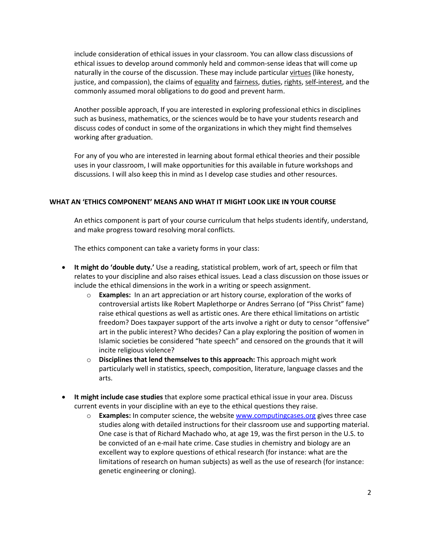include consideration of ethical issues in your classroom. You can allow class discussions of ethical issues to develop around commonly held and common-sense ideas that will come up naturally in the course of the discussion. These may include particular virtues (like honesty, justice, and compassion), the claims of equality and fairness, duties, rights, self-interest, and the commonly assumed moral obligations to do good and prevent harm.

Another possible approach, If you are interested in exploring professional ethics in disciplines such as business, mathematics, or the sciences would be to have your students research and discuss codes of conduct in some of the organizations in which they might find themselves working after graduation.

For any of you who are interested in learning about formal ethical theories and their possible uses in your classroom, I will make opportunities for this available in future workshops and discussions. I will also keep this in mind as I develop case studies and other resources.

### **WHAT AN 'ETHICS COMPONENT' MEANS AND WHAT IT MIGHT LOOK LIKE IN YOUR COURSE**

An ethics component is part of your course curriculum that helps students identify, understand, and make progress toward resolving moral conflicts.

The ethics component can take a variety forms in your class:

- **It might do 'double duty.'** Use a reading, statistical problem, work of art, speech or film that relates to your discipline and also raises ethical issues. Lead a class discussion on those issues or include the ethical dimensions in the work in a writing or speech assignment.
	- o **Examples:** In an art appreciation or art history course, exploration of the works of controversial artists like Robert Maplethorpe or Andres Serrano (of "Piss Christ" fame) raise ethical questions as well as artistic ones. Are there ethical limitations on artistic freedom? Does taxpayer support of the arts involve a right or duty to censor "offensive" art in the public interest? Who decides? Can a play exploring the position of women in Islamic societies be considered "hate speech" and censored on the grounds that it will incite religious violence?
	- o **Disciplines that lend themselves to this approach:** This approach might work particularly well in statistics, speech, composition, literature, language classes and the arts.
- **It might include case studies** that explore some practical ethical issue in your area. Discuss current events in your discipline with an eye to the ethical questions they raise.
	- o **Examples:** In computer science, the website www.computingcases.org gives three case studies along with detailed instructions for their classroom use and supporting material. One case is that of Richard Machado who, at age 19, was the first person in the U.S. to be convicted of an e-mail hate crime. Case studies in chemistry and biology are an excellent way to explore questions of ethical research (for instance: what are the limitations of research on human subjects) as well as the use of research (for instance: genetic engineering or cloning).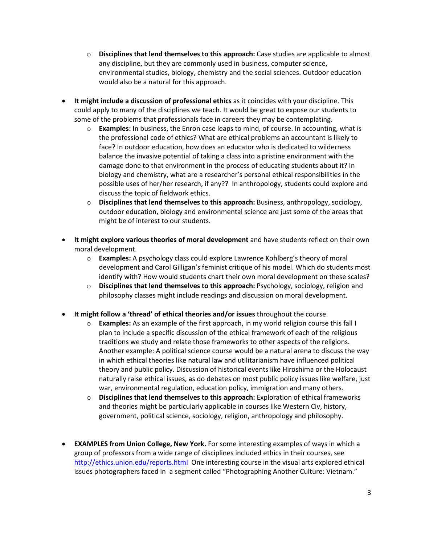- o **Disciplines that lend themselves to this approach:** Case studies are applicable to almost any discipline, but they are commonly used in business, computer science, environmental studies, biology, chemistry and the social sciences. Outdoor education would also be a natural for this approach.
- **It might include a discussion of professional ethics** as it coincides with your discipline. This could apply to many of the disciplines we teach. It would be great to expose our students to some of the problems that professionals face in careers they may be contemplating.
	- o **Examples:** In business, the Enron case leaps to mind, of course. In accounting, what is the professional code of ethics? What are ethical problems an accountant is likely to face? In outdoor education, how does an educator who is dedicated to wilderness balance the invasive potential of taking a class into a pristine environment with the damage done to that environment in the process of educating students about it? In biology and chemistry, what are a researcher's personal ethical responsibilities in the possible uses of her/her research, if any?? In anthropology, students could explore and discuss the topic of fieldwork ethics.
	- o **Disciplines that lend themselves to this approach:** Business, anthropology, sociology, outdoor education, biology and environmental science are just some of the areas that might be of interest to our students.
- **It might explore various theories of moral development** and have students reflect on their own moral development.
	- o **Examples:** A psychology class could explore Lawrence Kohlberg's theory of moral development and Carol Gilligan's feminist critique of his model. Which do students most identify with? How would students chart their own moral development on these scales?
	- o **Disciplines that lend themselves to this approach:** Psychology, sociology, religion and philosophy classes might include readings and discussion on moral development.
- **It might follow a 'thread' of ethical theories and/or issues** throughout the course.
	- o **Examples:** As an example of the first approach, in my world religion course this fall I plan to include a specific discussion of the ethical framework of each of the religious traditions we study and relate those frameworks to other aspects of the religions. Another example: A political science course would be a natural arena to discuss the way in which ethical theories like natural law and utilitarianism have influenced political theory and public policy. Discussion of historical events like Hiroshima or the Holocaust naturally raise ethical issues, as do debates on most public policy issues like welfare, just war, environmental regulation, education policy, immigration and many others.
	- o **Disciplines that lend themselves to this approach:** Exploration of ethical frameworks and theories might be particularly applicable in courses like Western Civ, history, government, political science, sociology, religion, anthropology and philosophy.
- **EXAMPLES from Union College, New York.** For some interesting examples of ways in which a group of professors from a wide range of disciplines included ethics in their courses, see http://ethics.union.edu/reports.html One interesting course in the visual arts explored ethical issues photographers faced in a segment called "Photographing Another Culture: Vietnam."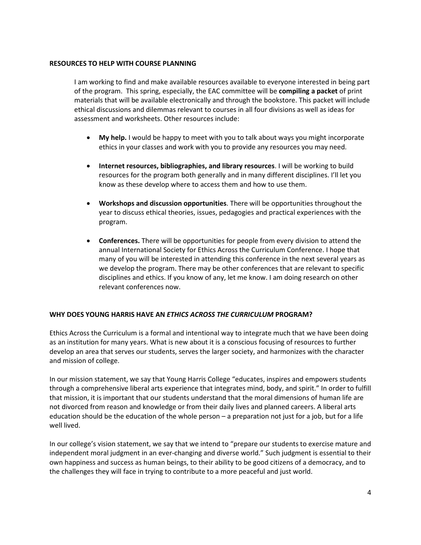### **RESOURCES TO HELP WITH COURSE PLANNING**

I am working to find and make available resources available to everyone interested in being part of the program. This spring, especially, the EAC committee will be **compiling a packet** of print materials that will be available electronically and through the bookstore. This packet will include ethical discussions and dilemmas relevant to courses in all four divisions as well as ideas for assessment and worksheets. Other resources include:

- **My help.** I would be happy to meet with you to talk about ways you might incorporate ethics in your classes and work with you to provide any resources you may need.
- **Internet resources, bibliographies, and library resources**. I will be working to build resources for the program both generally and in many different disciplines. I'll let you know as these develop where to access them and how to use them.
- **Workshops and discussion opportunities**. There will be opportunities throughout the year to discuss ethical theories, issues, pedagogies and practical experiences with the program.
- **Conferences.** There will be opportunities for people from every division to attend the annual International Society for Ethics Across the Curriculum Conference. I hope that many of you will be interested in attending this conference in the next several years as we develop the program. There may be other conferences that are relevant to specific disciplines and ethics. If you know of any, let me know. I am doing research on other relevant conferences now.

### **WHY DOES YOUNG HARRIS HAVE AN** *ETHICS ACROSS THE CURRICULUM* **PROGRAM?**

Ethics Across the Curriculum is a formal and intentional way to integrate much that we have been doing as an institution for many years. What is new about it is a conscious focusing of resources to further develop an area that serves our students, serves the larger society, and harmonizes with the character and mission of college.

In our mission statement, we say that Young Harris College "educates, inspires and empowers students through a comprehensive liberal arts experience that integrates mind, body, and spirit." In order to fulfill that mission, it is important that our students understand that the moral dimensions of human life are not divorced from reason and knowledge or from their daily lives and planned careers. A liberal arts education should be the education of the whole person – a preparation not just for a job, but for a life well lived.

In our college's vision statement, we say that we intend to "prepare our students to exercise mature and independent moral judgment in an ever-changing and diverse world." Such judgment is essential to their own happiness and success as human beings, to their ability to be good citizens of a democracy, and to the challenges they will face in trying to contribute to a more peaceful and just world.